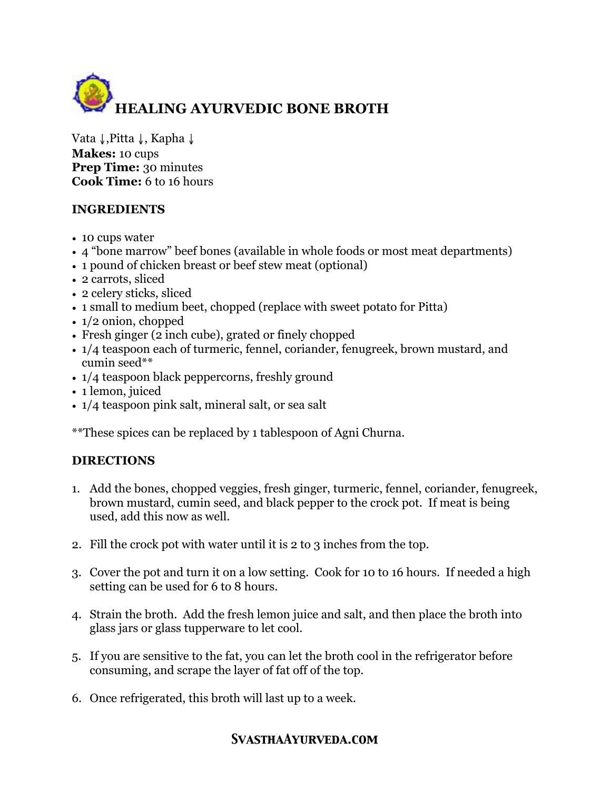

Vata ↓,Pitta ↓, Kapha ↓ **Makes:** 10 cups **Prep Time:** 30 minutes **Cook Time:** 6 to 16 hours

## **INGREDIENTS**

- 10 cups water
- 4 "bone marrow" beef bones (available in whole foods or most meat departments)
- 1 pound of chicken breast or beef stew meat (optional)
- 2 carrots, sliced
- 2 celery sticks, sliced
- 1 small to medium beet, chopped (replace with sweet potato for Pitta)
- 1/2 onion, chopped
- Fresh ginger (2 inch cube), grated or finely chopped
- 1/4 teaspoon each of turmeric, fennel, coriander, fenugreek, brown mustard, and cumin seed\*\*
- $1/4$  teaspoon black peppercorns, freshly ground
- 1 lemon, juiced
- 1/4 teaspoon pink salt, mineral salt, or sea salt

\*\*These spices can be replaced by 1 tablespoon of Agni Churna.

## **DIRECTIONS**

- 1. Add the bones, chopped veggies, fresh ginger, turmeric, fennel, coriander, fenugreek, brown mustard, cumin seed, and black pepper to the crock pot. If meat is being used, add this now as well.
- 2. Fill the crock pot with water until it is 2 to 3 inches from the top.
- 3. Cover the pot and turn it on a low setting. Cook for 10 to 16 hours. If needed a high setting can be used for 6 to 8 hours.
- 4. Strain the broth. Add the fresh lemon juice and salt, and then place the broth into glass jars or glass tupperware to let cool.
- 5. If you are sensitive to the fat, you can let the broth cool in the refrigerator before consuming, and scrape the layer of fat off of the top.
- 6. Once refrigerated, this broth will last up to a week.

## *SvasthaAyurveda.com*